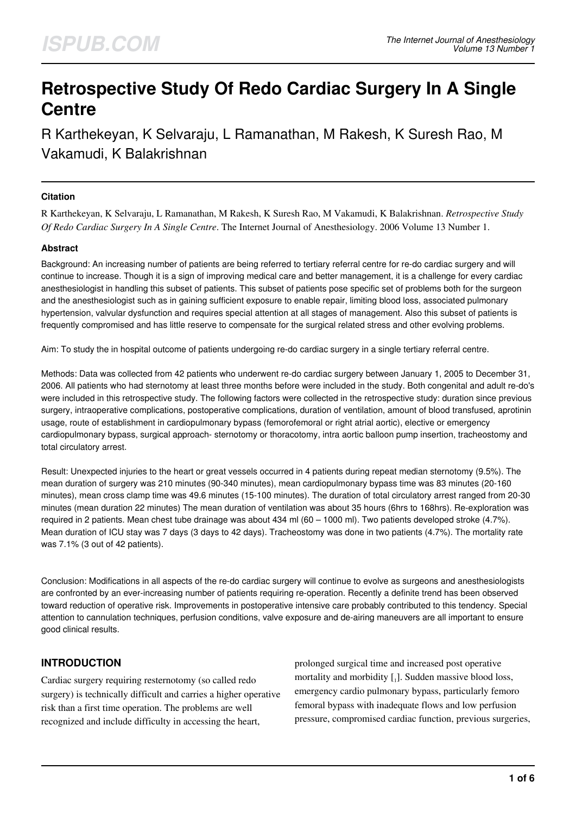# **Retrospective Study Of Redo Cardiac Surgery In A Single Centre**

R Karthekeyan, K Selvaraju, L Ramanathan, M Rakesh, K Suresh Rao, M Vakamudi, K Balakrishnan

## **Citation**

R Karthekeyan, K Selvaraju, L Ramanathan, M Rakesh, K Suresh Rao, M Vakamudi, K Balakrishnan. *Retrospective Study Of Redo Cardiac Surgery In A Single Centre*. The Internet Journal of Anesthesiology. 2006 Volume 13 Number 1.

## **Abstract**

Background: An increasing number of patients are being referred to tertiary referral centre for re-do cardiac surgery and will continue to increase. Though it is a sign of improving medical care and better management, it is a challenge for every cardiac anesthesiologist in handling this subset of patients. This subset of patients pose specific set of problems both for the surgeon and the anesthesiologist such as in gaining sufficient exposure to enable repair, limiting blood loss, associated pulmonary hypertension, valvular dysfunction and requires special attention at all stages of management. Also this subset of patients is frequently compromised and has little reserve to compensate for the surgical related stress and other evolving problems.

Aim: To study the in hospital outcome of patients undergoing re-do cardiac surgery in a single tertiary referral centre.

Methods: Data was collected from 42 patients who underwent re-do cardiac surgery between January 1, 2005 to December 31, 2006. All patients who had sternotomy at least three months before were included in the study. Both congenital and adult re-do's were included in this retrospective study. The following factors were collected in the retrospective study: duration since previous surgery, intraoperative complications, postoperative complications, duration of ventilation, amount of blood transfused, aprotinin usage, route of establishment in cardiopulmonary bypass (femorofemoral or right atrial aortic), elective or emergency cardiopulmonary bypass, surgical approach- sternotomy or thoracotomy, intra aortic balloon pump insertion, tracheostomy and total circulatory arrest.

Result: Unexpected injuries to the heart or great vessels occurred in 4 patients during repeat median sternotomy (9.5%). The mean duration of surgery was 210 minutes (90-340 minutes), mean cardiopulmonary bypass time was 83 minutes (20-160 minutes), mean cross clamp time was 49.6 minutes (15-100 minutes). The duration of total circulatory arrest ranged from 20-30 minutes (mean duration 22 minutes) The mean duration of ventilation was about 35 hours (6hrs to 168hrs). Re-exploration was required in 2 patients. Mean chest tube drainage was about 434 ml (60 – 1000 ml). Two patients developed stroke (4.7%). Mean duration of ICU stay was 7 days (3 days to 42 days). Tracheostomy was done in two patients (4.7%). The mortality rate was 7.1% (3 out of 42 patients).

Conclusion: Modifications in all aspects of the re-do cardiac surgery will continue to evolve as surgeons and anesthesiologists are confronted by an ever-increasing number of patients requiring re-operation. Recently a definite trend has been observed toward reduction of operative risk. Improvements in postoperative intensive care probably contributed to this tendency. Special attention to cannulation techniques, perfusion conditions, valve exposure and de-airing maneuvers are all important to ensure good clinical results.

# **INTRODUCTION**

Cardiac surgery requiring resternotomy (so called redo surgery) is technically difficult and carries a higher operative risk than a first time operation. The problems are well recognized and include difficulty in accessing the heart,

prolonged surgical time and increased post operative mortality and morbidity [1]. Sudden massive blood loss, emergency cardio pulmonary bypass, particularly femoro femoral bypass with inadequate flows and low perfusion pressure, compromised cardiac function, previous surgeries,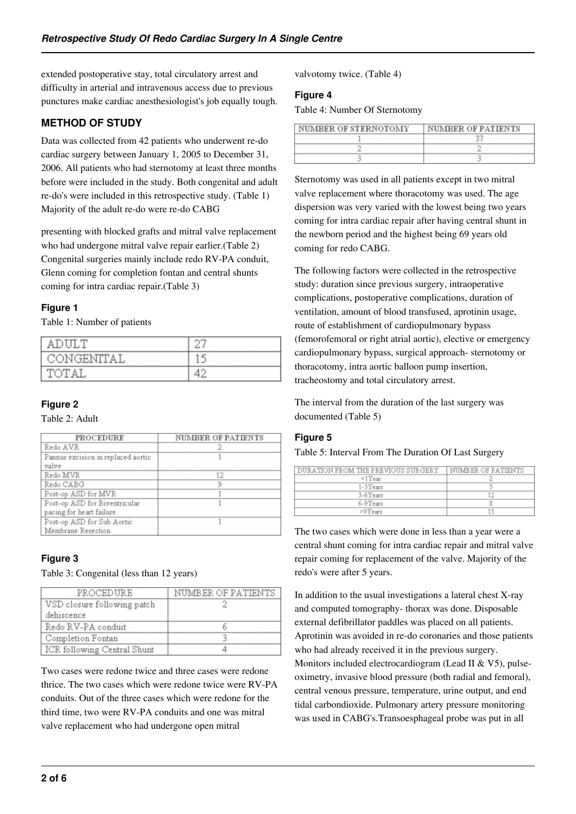extended postoperative stay, total circulatory arrest and difficulty in arterial and intravenous access due to previous punctures make cardiac anesthesiologist's job equally tough.

# **METHOD OF STUDY**

Data was collected from 42 patients who underwent re-do cardiac surgery between January 1, 2005 to December 31, 2006. All patients who had sternotomy at least three months before were included in the study. Both congenital and adult re-do's were included in this retrospective study. (Table 1) Majority of the adult re-do were re-do CABG

presenting with blocked grafts and mitral valve replacement who had undergone mitral valve repair earlier.(Table 2) Congenital surgeries mainly include redo RV-PA conduit, Glenn coming for completion fontan and central shunts coming for intra cardiac repair.(Table 3)

## **Figure 1**

Table 1: Number of patients

| AD         | ry. |
|------------|-----|
| CONGENTTAL | 15  |
| T∩T A      | ⊿   |

## **Figure 2**

Table 2: Adult

| PROCEDURE                                                 | NUMBER OF PATIENTS |
|-----------------------------------------------------------|--------------------|
| Redo AVR                                                  |                    |
| Pannus excision in replaced aortic<br>valve               |                    |
| Redo MVR                                                  | 12                 |
| Redo CABG                                                 | a                  |
| Post-op ASD for MVR                                       |                    |
| Post-op ASD for Biventricular<br>pacing for heart failure |                    |
| Post-op ASD for Sub Aortic<br>Membrane Resection          |                    |

# **Figure 3**

Table 3: Congenital (less than 12 years)

| PROCEDURE                   | NUMBER OF PATIENTS |
|-----------------------------|--------------------|
| VSD closure following patch |                    |
| dehiscence                  |                    |
| Redo RV-PA conduit          |                    |
| Completion Fontan           |                    |
| ICR following Central Shunt |                    |

Two cases were redone twice and three cases were redone thrice. The two cases which were redone twice were RV-PA conduits. Out of the three cases which were redone for the third time, two were RV-PA conduits and one was mitral valve replacement who had undergone open mitral

valvotomy twice. (Table 4)

#### **Figure 4**

Table 4: Number Of Sternotomy

| NUMBER OF STERNOTOMY | NUMBER OF PATIENTS |
|----------------------|--------------------|
|                      |                    |
|                      |                    |
|                      |                    |

Sternotomy was used in all patients except in two mitral valve replacement where thoracotomy was used. The age dispersion was very varied with the lowest being two years coming for intra cardiac repair after having central shunt in the newborn period and the highest being 69 years old coming for redo CABG.

The following factors were collected in the retrospective study: duration since previous surgery, intraoperative complications, postoperative complications, duration of ventilation, amount of blood transfused, aprotinin usage, route of establishment of cardiopulmonary bypass (femorofemoral or right atrial aortic), elective or emergency cardiopulmonary bypass, surgical approach- sternotomy or thoracotomy, intra aortic balloon pump insertion, tracheostomy and total circulatory arrest.

The interval from the duration of the last surgery was documented (Table 5)

# **Figure 5**

Table 5: Interval From The Duration Of Last Surgery

| DURATION FROM THE PREVIOUS SURGERY | I NUMBER OF PATIENTS |
|------------------------------------|----------------------|
| $\leq$ 1 $Y$ ear                   |                      |
| $1-3Years$                         |                      |
| 3-6Years                           |                      |
| 6-9Years                           |                      |
| $>9$ Years                         |                      |

The two cases which were done in less than a year were a central shunt coming for intra cardiac repair and mitral valve repair coming for replacement of the valve. Majority of the redo's were after 5 years.

In addition to the usual investigations a lateral chest X-ray and computed tomography- thorax was done. Disposable external defibrillator paddles was placed on all patients. Aprotinin was avoided in re-do coronaries and those patients who had already received it in the previous surgery. Monitors included electrocardiogram (Lead II & V5), pulseoximetry, invasive blood pressure (both radial and femoral), central venous pressure, temperature, urine output, and end tidal carbondioxide. Pulmonary artery pressure monitoring was used in CABG's.Transoesphageal probe was put in all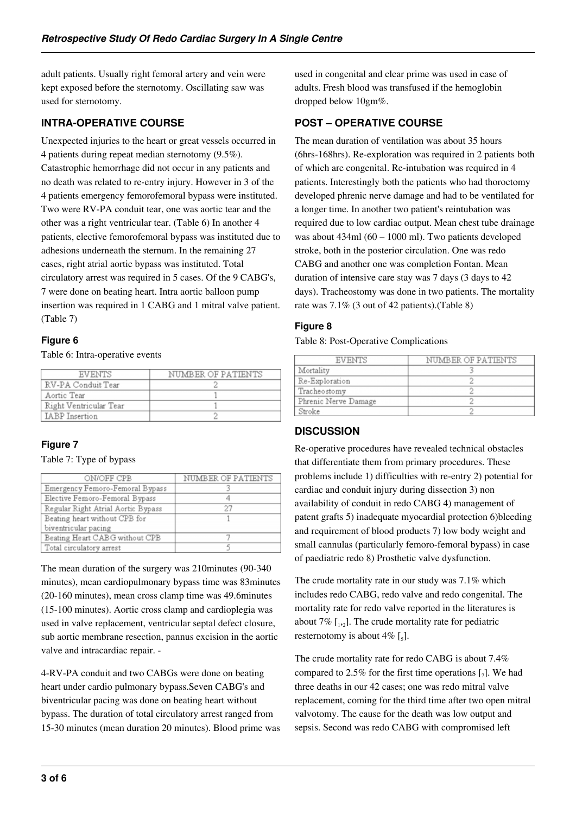adult patients. Usually right femoral artery and vein were kept exposed before the sternotomy. Oscillating saw was used for sternotomy.

# **INTRA-OPERATIVE COURSE**

Unexpected injuries to the heart or great vessels occurred in 4 patients during repeat median sternotomy (9.5%). Catastrophic hemorrhage did not occur in any patients and no death was related to re-entry injury. However in 3 of the 4 patients emergency femorofemoral bypass were instituted. Two were RV-PA conduit tear, one was aortic tear and the other was a right ventricular tear. (Table 6) In another 4 patients, elective femorofemoral bypass was instituted due to adhesions underneath the sternum. In the remaining 27 cases, right atrial aortic bypass was instituted. Total circulatory arrest was required in 5 cases. Of the 9 CABG's, 7 were done on beating heart. Intra aortic balloon pump insertion was required in 1 CABG and 1 mitral valve patient. (Table 7)

# **Figure 6**

Table 6: Intra-operative events

| <b>EVENTS</b>          | NUMBER OF PATIENTS |
|------------------------|--------------------|
| RV-PA Conduit Tear     |                    |
| Aortic Tear            |                    |
| Right Ventricular Tear |                    |
| <b>IABP</b> Insertion  |                    |

# **Figure 7**

Table 7: Type of bypass

| ON/OFF CPB                         | NUMBER OF PATIENTS |
|------------------------------------|--------------------|
| Emergency Femoro-Femoral Bypass    |                    |
| Elective Femoro-Femoral Bypass     |                    |
| Regular Right Atrial Aortic Bypass | 27                 |
| Beating heart without CPB for      |                    |
| biventricular pacing               |                    |
| Beating Heart CABG without CPB     |                    |
| Total circulatory arrest           |                    |

The mean duration of the surgery was 210minutes (90-340 minutes), mean cardiopulmonary bypass time was 83minutes (20-160 minutes), mean cross clamp time was 49.6minutes (15-100 minutes). Aortic cross clamp and cardioplegia was used in valve replacement, ventricular septal defect closure, sub aortic membrane resection, pannus excision in the aortic valve and intracardiac repair. -

4-RV-PA conduit and two CABGs were done on beating heart under cardio pulmonary bypass.Seven CABG's and biventricular pacing was done on beating heart without bypass. The duration of total circulatory arrest ranged from 15-30 minutes (mean duration 20 minutes). Blood prime was used in congenital and clear prime was used in case of adults. Fresh blood was transfused if the hemoglobin dropped below 10gm%.

# **POST – OPERATIVE COURSE**

The mean duration of ventilation was about 35 hours (6hrs-168hrs). Re-exploration was required in 2 patients both of which are congenital. Re-intubation was required in 4 patients. Interestingly both the patients who had thoroctomy developed phrenic nerve damage and had to be ventilated for a longer time. In another two patient's reintubation was required due to low cardiac output. Mean chest tube drainage was about 434ml (60 – 1000 ml). Two patients developed stroke, both in the posterior circulation. One was redo CABG and another one was completion Fontan. Mean duration of intensive care stay was 7 days (3 days to 42 days). Tracheostomy was done in two patients. The mortality rate was 7.1% (3 out of 42 patients).(Table 8)

## **Figure 8**

Table 8: Post-Operative Complications

| EVENTS               | NUMBER OF PATIENTS |
|----------------------|--------------------|
| Mortality            |                    |
| Re-Exploration       |                    |
| Tracheostomy         |                    |
| Phrenic Nerve Damage |                    |
| Stroke               |                    |

# **DISCUSSION**

Re-operative procedures have revealed technical obstacles that differentiate them from primary procedures. These problems include 1) difficulties with re-entry 2) potential for cardiac and conduit injury during dissection 3) non availability of conduit in redo CABG 4) management of patent grafts 5) inadequate myocardial protection 6)bleeding and requirement of blood products 7) low body weight and small cannulas (particularly femoro-femoral bypass) in case of paediatric redo 8) Prosthetic valve dysfunction.

The crude mortality rate in our study was 7.1% which includes redo CABG, redo valve and redo congenital. The mortality rate for redo valve reported in the literatures is about 7%  $\left[1,2\right]$ . The crude mortality rate for pediatric resternotomy is about 4%  $\left[\frac{1}{5}\right]$ .

The crude mortality rate for redo CABG is about 7.4% compared to 2.5% for the first time operations  $\lbrack 7]$ . We had three deaths in our 42 cases; one was redo mitral valve replacement, coming for the third time after two open mitral valvotomy. The cause for the death was low output and sepsis. Second was redo CABG with compromised left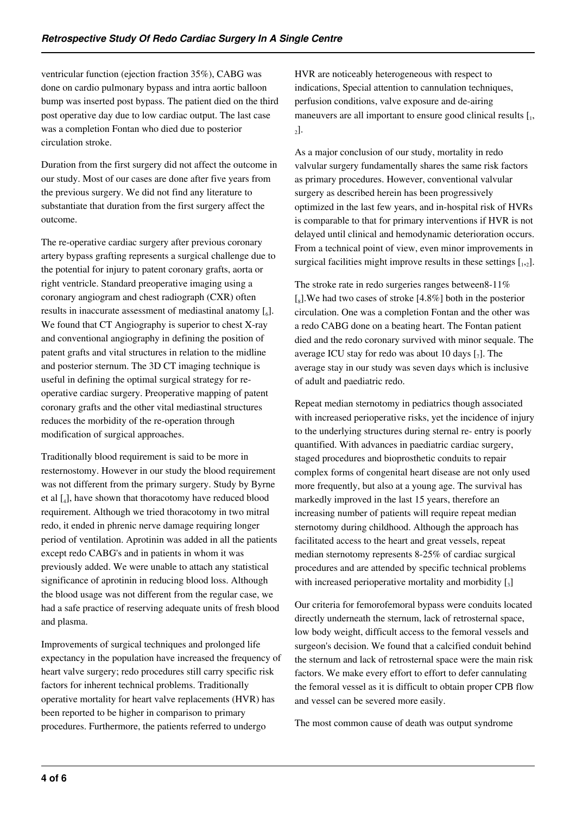ventricular function (ejection fraction 35%), CABG was done on cardio pulmonary bypass and intra aortic balloon bump was inserted post bypass. The patient died on the third post operative day due to low cardiac output. The last case was a completion Fontan who died due to posterior circulation stroke.

Duration from the first surgery did not affect the outcome in our study. Most of our cases are done after five years from the previous surgery. We did not find any literature to substantiate that duration from the first surgery affect the outcome.

The re-operative cardiac surgery after previous coronary artery bypass grafting represents a surgical challenge due to the potential for injury to patent coronary grafts, aorta or right ventricle. Standard preoperative imaging using a coronary angiogram and chest radiograph (CXR) often results in inaccurate assessment of mediastinal anatomy  $[\,_6]$ . We found that CT Angiography is superior to chest X-ray and conventional angiography in defining the position of patent grafts and vital structures in relation to the midline and posterior sternum. The 3D CT imaging technique is useful in defining the optimal surgical strategy for reoperative cardiac surgery. Preoperative mapping of patent coronary grafts and the other vital mediastinal structures reduces the morbidity of the re-operation through modification of surgical approaches.

Traditionally blood requirement is said to be more in resternostomy. However in our study the blood requirement was not different from the primary surgery. Study by Byrne et al [<sup>4</sup> ], have shown that thoracotomy have reduced blood requirement. Although we tried thoracotomy in two mitral redo, it ended in phrenic nerve damage requiring longer period of ventilation. Aprotinin was added in all the patients except redo CABG's and in patients in whom it was previously added. We were unable to attach any statistical significance of aprotinin in reducing blood loss. Although the blood usage was not different from the regular case, we had a safe practice of reserving adequate units of fresh blood and plasma.

Improvements of surgical techniques and prolonged life expectancy in the population have increased the frequency of heart valve surgery; redo procedures still carry specific risk factors for inherent technical problems. Traditionally operative mortality for heart valve replacements (HVR) has been reported to be higher in comparison to primary procedures. Furthermore, the patients referred to undergo

HVR are noticeably heterogeneous with respect to indications, Special attention to cannulation techniques, perfusion conditions, valve exposure and de-airing maneuvers are all important to ensure good clinical results  $[I_1, I_2]$  $_{2}$ ].

As a major conclusion of our study, mortality in redo valvular surgery fundamentally shares the same risk factors as primary procedures. However, conventional valvular surgery as described herein has been progressively optimized in the last few years, and in-hospital risk of HVRs is comparable to that for primary interventions if HVR is not delayed until clinical and hemodynamic deterioration occurs. From a technical point of view, even minor improvements in surgical facilities might improve results in these settings  $[$ <sub>1,2</sub> $]$ .

The stroke rate in redo surgeries ranges between8-11% [<sub>8</sub>]. We had two cases of stroke [4.8%] both in the posterior circulation. One was a completion Fontan and the other was a redo CABG done on a beating heart. The Fontan patient died and the redo coronary survived with minor sequale. The average ICU stay for redo was about 10 days  $\lbrack \cdot \rbrack$ . The average stay in our study was seven days which is inclusive of adult and paediatric redo.

Repeat median sternotomy in pediatrics though associated with increased perioperative risks, yet the incidence of injury to the underlying structures during sternal re- entry is poorly quantified. With advances in paediatric cardiac surgery, staged procedures and bioprosthetic conduits to repair complex forms of congenital heart disease are not only used more frequently, but also at a young age. The survival has markedly improved in the last 15 years, therefore an increasing number of patients will require repeat median sternotomy during childhood. Although the approach has facilitated access to the heart and great vessels, repeat median sternotomy represents 8-25% of cardiac surgical procedures and are attended by specific technical problems with increased perioperative mortality and morbidity  $\left[\right]_3$ 

Our criteria for femorofemoral bypass were conduits located directly underneath the sternum, lack of retrosternal space, low body weight, difficult access to the femoral vessels and surgeon's decision. We found that a calcified conduit behind the sternum and lack of retrosternal space were the main risk factors. We make every effort to effort to defer cannulating the femoral vessel as it is difficult to obtain proper CPB flow and vessel can be severed more easily.

The most common cause of death was output syndrome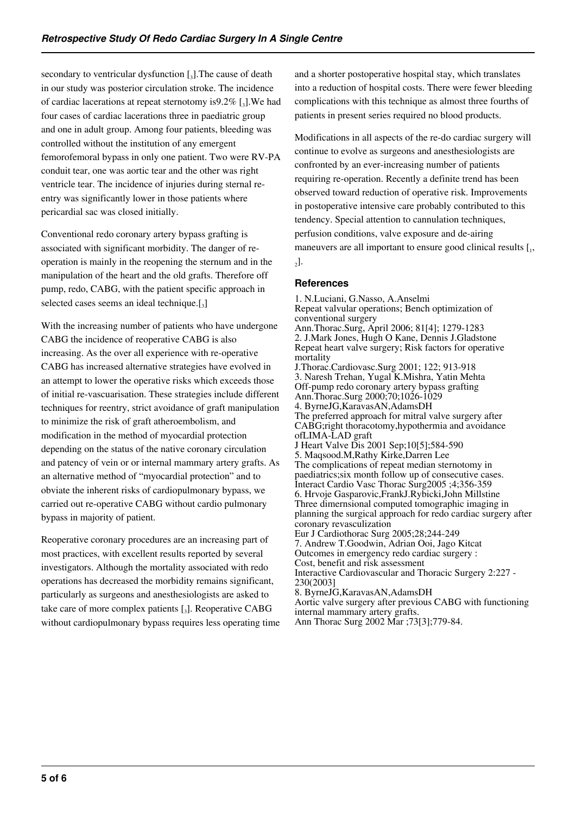secondary to ventricular dysfunction  $\left[\right]_3$ . The cause of death in our study was posterior circulation stroke. The incidence of cardiac lacerations at repeat sternotomy is  $9.2\%$  [3]. We had four cases of cardiac lacerations three in paediatric group and one in adult group. Among four patients, bleeding was controlled without the institution of any emergent femorofemoral bypass in only one patient. Two were RV-PA conduit tear, one was aortic tear and the other was right ventricle tear. The incidence of injuries during sternal reentry was significantly lower in those patients where pericardial sac was closed initially.

Conventional redo coronary artery bypass grafting is associated with significant morbidity. The danger of reoperation is mainly in the reopening the sternum and in the manipulation of the heart and the old grafts. Therefore off pump, redo, CABG, with the patient specific approach in selected cases seems an ideal technique. $[3]$ 

With the increasing number of patients who have undergone CABG the incidence of reoperative CABG is also increasing. As the over all experience with re-operative CABG has increased alternative strategies have evolved in an attempt to lower the operative risks which exceeds those of initial re-vascuarisation. These strategies include different techniques for reentry, strict avoidance of graft manipulation to minimize the risk of graft atheroembolism, and modification in the method of myocardial protection depending on the status of the native coronary circulation and patency of vein or or internal mammary artery grafts. As an alternative method of "myocardial protection" and to obviate the inherent risks of cardiopulmonary bypass, we carried out re-operative CABG without cardio pulmonary bypass in majority of patient.

Reoperative coronary procedures are an increasing part of most practices, with excellent results reported by several investigators. Although the mortality associated with redo operations has decreased the morbidity remains significant, particularly as surgeons and anesthesiologists are asked to take care of more complex patients  $\mathfrak{[}_3$ ]. Reoperative CABG without cardiopulmonary bypass requires less operating time and a shorter postoperative hospital stay, which translates into a reduction of hospital costs. There were fewer bleeding complications with this technique as almost three fourths of patients in present series required no blood products.

Modifications in all aspects of the re-do cardiac surgery will continue to evolve as surgeons and anesthesiologists are confronted by an ever-increasing number of patients requiring re-operation. Recently a definite trend has been observed toward reduction of operative risk. Improvements in postoperative intensive care probably contributed to this tendency. Special attention to cannulation techniques, perfusion conditions, valve exposure and de-airing maneuvers are all important to ensure good clinical results  $[I_1, I_2]$  $_{2}$ ].

#### **References**

1. N.Luciani, G.Nasso, A.Anselmi Repeat valvular operations; Bench optimization of conventional surgery Ann.Thorac.Surg, April 2006; 81[4]; 1279-1283 2. J.Mark Jones, Hugh O Kane, Dennis J.Gladstone Repeat heart valve surgery; Risk factors for operative mortality J.Thorac.Cardiovasc.Surg 2001; 122; 913-918 3. Naresh Trehan, Yugal K.Mishra, Yatin Mehta Off-pump redo coronary artery bypass grafting Ann.Thorac.Surg 2000;70;1026-1029 4. ByrneJG,KaravasAN,AdamsDH The preferred approach for mitral valve surgery after CABG;right thoracotomy,hypothermia and avoidance ofLIMA-LAD graft J Heart Valve Dis 2001 Sep;10[5];584-590 5. Maqsood.M,Rathy Kirke,Darren Lee The complications of repeat median sternotomy in paediatrics;six month follow up of consecutive cases. Interact Cardio Vasc Thorac Surg2005 ;4;356-359 6. Hrvoje Gasparovic,FrankJ.Rybicki,John Millstine Three dimernsional computed tomographic imaging in planning the surgical approach for redo cardiac surgery after coronary revasculization Eur J Cardiothorac Surg 2005;28;244-249 7. Andrew T.Goodwin, Adrian Ooi, Jago Kitcat Outcomes in emergency redo cardiac surgery : Cost, benefit and risk assessment Interactive Cardiovascular and Thoracic Surgery 2:227 - 230(2003] 8. ByrneJG,KaravasAN,AdamsDH Aortic valve surgery after previous CABG with functioning internal mammary artery grafts. Ann Thorac Surg 2002 Mar ;73[3];779-84.